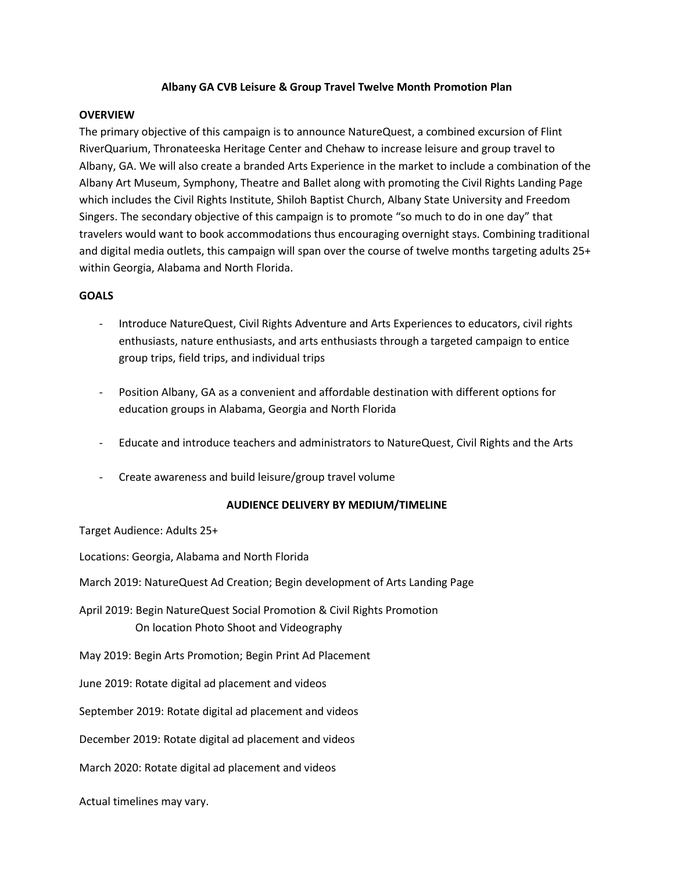# **Albany GA CVB Leisure & Group Travel Twelve Month Promotion Plan**

## **OVERVIEW**

The primary objective of this campaign is to announce NatureQuest, a combined excursion of Flint RiverQuarium, Thronateeska Heritage Center and Chehaw to increase leisure and group travel to Albany, GA. We will also create a branded Arts Experience in the market to include a combination of the Albany Art Museum, Symphony, Theatre and Ballet along with promoting the Civil Rights Landing Page which includes the Civil Rights Institute, Shiloh Baptist Church, Albany State University and Freedom Singers. The secondary objective of this campaign is to promote "so much to do in one day" that travelers would want to book accommodations thus encouraging overnight stays. Combining traditional and digital media outlets, this campaign will span over the course of twelve months targeting adults 25+ within Georgia, Alabama and North Florida.

## **GOALS**

- Introduce NatureQuest, Civil Rights Adventure and Arts Experiences to educators, civil rights enthusiasts, nature enthusiasts, and arts enthusiasts through a targeted campaign to entice group trips, field trips, and individual trips
- Position Albany, GA as a convenient and affordable destination with different options for education groups in Alabama, Georgia and North Florida
- Educate and introduce teachers and administrators to NatureQuest, Civil Rights and the Arts
- Create awareness and build leisure/group travel volume

# **AUDIENCE DELIVERY BY MEDIUM/TIMELINE**

Target Audience: Adults 25+

Locations: Georgia, Alabama and North Florida

March 2019: NatureQuest Ad Creation; Begin development of Arts Landing Page

April 2019: Begin NatureQuest Social Promotion & Civil Rights Promotion On location Photo Shoot and Videography

May 2019: Begin Arts Promotion; Begin Print Ad Placement

June 2019: Rotate digital ad placement and videos

September 2019: Rotate digital ad placement and videos

December 2019: Rotate digital ad placement and videos

March 2020: Rotate digital ad placement and videos

Actual timelines may vary.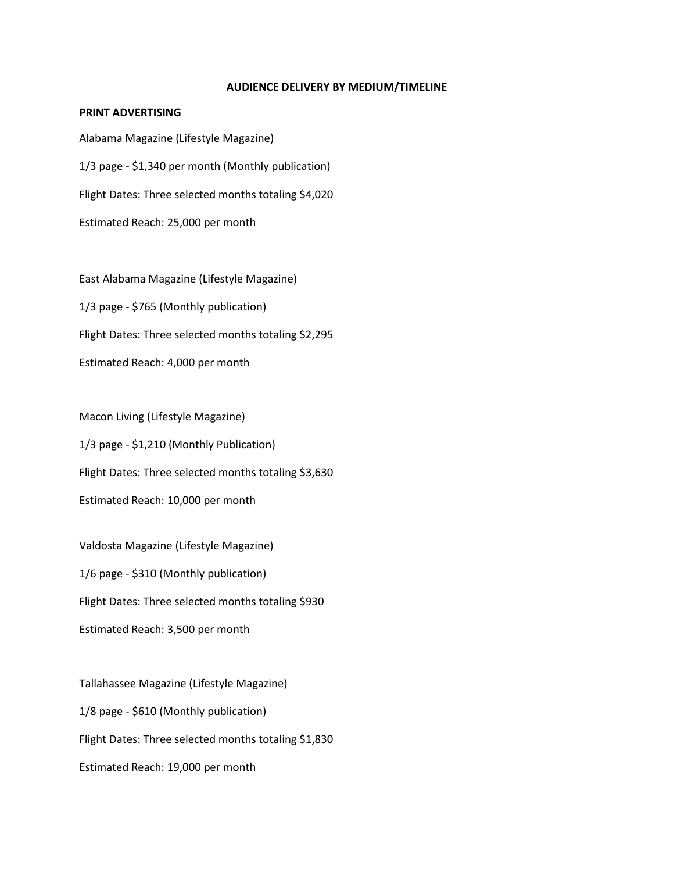#### **AUDIENCE DELIVERY BY MEDIUM/TIMELINE**

## **PRINT ADVERTISING**

Alabama Magazine (Lifestyle Magazine) 1/3 page - \$1,340 per month (Monthly publication) Flight Dates: Three selected months totaling \$4,020 Estimated Reach: 25,000 per month

East Alabama Magazine (Lifestyle Magazine) 1/3 page - \$765 (Monthly publication) Flight Dates: Three selected months totaling \$2,295 Estimated Reach: 4,000 per month

Macon Living (Lifestyle Magazine) 1/3 page - \$1,210 (Monthly Publication) Flight Dates: Three selected months totaling \$3,630 Estimated Reach: 10,000 per month

Valdosta Magazine (Lifestyle Magazine) 1/6 page - \$310 (Monthly publication) Flight Dates: Three selected months totaling \$930 Estimated Reach: 3,500 per month

Tallahassee Magazine (Lifestyle Magazine) 1/8 page - \$610 (Monthly publication) Flight Dates: Three selected months totaling \$1,830 Estimated Reach: 19,000 per month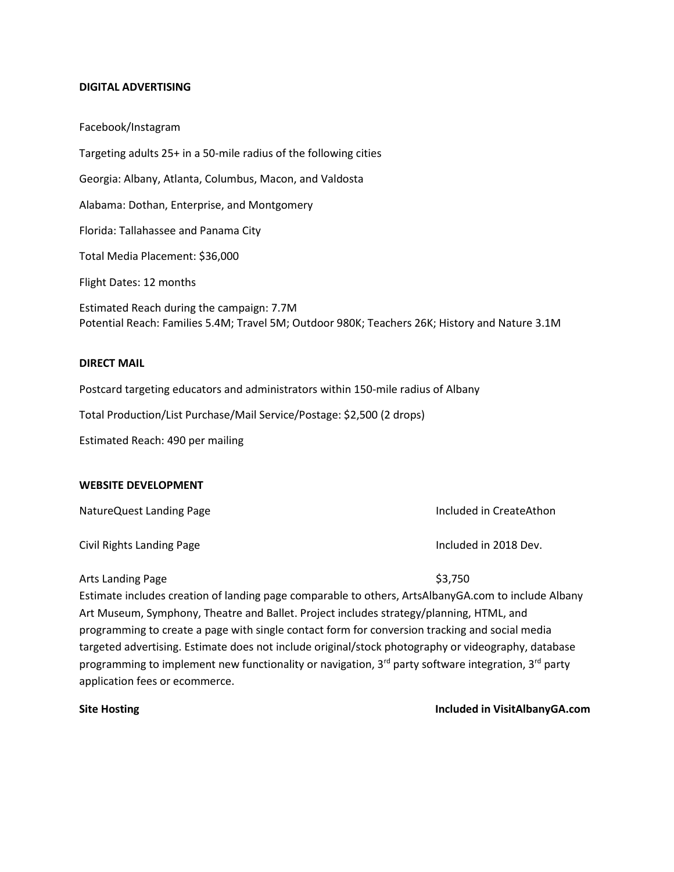#### **DIGITAL ADVERTISING**

Facebook/Instagram Targeting adults 25+ in a 50-mile radius of the following cities Georgia: Albany, Atlanta, Columbus, Macon, and Valdosta Alabama: Dothan, Enterprise, and Montgomery Florida: Tallahassee and Panama City Total Media Placement: \$36,000 Flight Dates: 12 months Estimated Reach during the campaign: 7.7M Potential Reach: Families 5.4M; Travel 5M; Outdoor 980K; Teachers 26K; History and Nature 3.1M

#### **DIRECT MAIL**

Postcard targeting educators and administrators within 150-mile radius of Albany

Total Production/List Purchase/Mail Service/Postage: \$2,500 (2 drops)

Estimated Reach: 490 per mailing

#### **WEBSITE DEVELOPMENT**

NatureQuest Landing Page **Included** in CreateAthon

Civil Rights Landing Page **Included in 2018** Dev.

Arts Landing Page \$3,750

Estimate includes creation of landing page comparable to others, ArtsAlbanyGA.com to include Albany Art Museum, Symphony, Theatre and Ballet. Project includes strategy/planning, HTML, and programming to create a page with single contact form for conversion tracking and social media targeted advertising. Estimate does not include original/stock photography or videography, database programming to implement new functionality or navigation,  $3^{rd}$  party software integration,  $3^{rd}$  party application fees or ecommerce.

**Site Hosting Included in VisitAlbanyGA.com Included in VisitAlbanyGA.com**